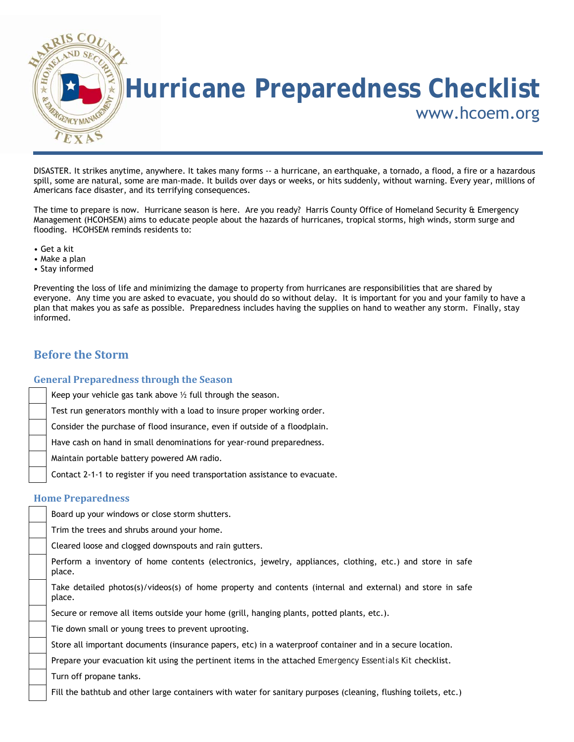

DISASTER. It strikes anytime, anywhere. It takes many forms -- a hurricane, an earthquake, a tornado, a flood, a fire or a hazardous spill, some are natural, some are man-made. It builds over days or weeks, or hits suddenly, without warning. Every year, millions of Americans face disaster, and its terrifying consequences.

The time to prepare is now. Hurricane season is here. Are you ready? Harris County Office of Homeland Security & Emergency Management (HCOHSEM) aims to educate people about the hazards of hurricanes, tropical storms, high winds, storm surge and flooding. HCOHSEM reminds residents to:

- Get a kit
- Make a plan
- Stay informed

Preventing the loss of life and minimizing the damage to property from hurricanes are responsibilities that are shared by everyone. Any time you are asked to evacuate, you should do so without delay. It is important for you and your family to have a plan that makes you as safe as possible. Preparedness includes having the supplies on hand to weather any storm. Finally, stay informed.

#### **Before the Storm**

#### **General Preparedness through the Season**

Keep your vehicle gas tank above ½ full through the season.

Test run generators monthly with a load to insure proper working order.

Consider the purchase of flood insurance, even if outside of a floodplain.

Have cash on hand in small denominations for year-round preparedness.

Maintain portable battery powered AM radio.

Contact 2-1-1 to register if you need transportation assistance to evacuate.

#### **Home Preparedness**

Board up your windows or close storm shutters.

Trim the trees and shrubs around your home.

Cleared loose and clogged downspouts and rain gutters.

 Perform a inventory of home contents (electronics, jewelry, appliances, clothing, etc.) and store in safe place.

 Take detailed photos(s)/videos(s) of home property and contents (internal and external) and store in safe place.

Secure or remove all items outside your home (grill, hanging plants, potted plants, etc.).

Tie down small or young trees to prevent uprooting.

Store all important documents (insurance papers, etc) in a waterproof container and in a secure location.

Prepare your evacuation kit using the pertinent items in the attached *Emergency Essentials Kit* checklist.

Turn off propane tanks.

Fill the bathtub and other large containers with water for sanitary purposes (cleaning, flushing toilets, etc.)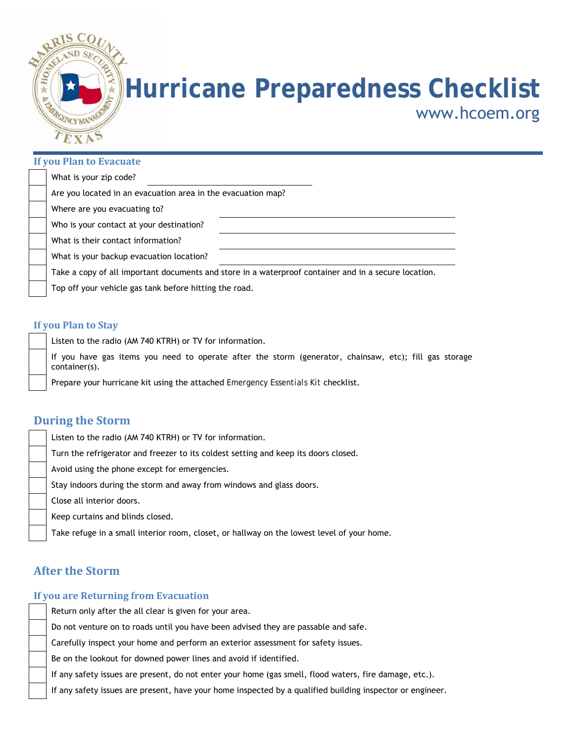

## **Hurricane Preparedness Checklist**

www.hcoem.org

#### **If you Plan to Evacuate**

| What is your zip code?                                                                               |  |
|------------------------------------------------------------------------------------------------------|--|
| Are you located in an evacuation area in the evacuation map?                                         |  |
| Where are you evacuating to?                                                                         |  |
| Who is your contact at your destination?                                                             |  |
| What is their contact information?                                                                   |  |
| What is your backup evacuation location?                                                             |  |
| Take a copy of all important documents and store in a waterproof container and in a secure location. |  |
| Top off your vehicle gas tank before hitting the road.                                               |  |

#### **If you Plan to Stay**

Listen to the radio (AM 740 KTRH) or TV for information.

 If you have gas items you need to operate after the storm (generator, chainsaw, etc); fill gas storage container(s).

Prepare your hurricane kit using the attached *Emergency Essentials Kit* checklist.

#### **During the Storm**

| Turn the refrigerator and freezer to its coldest setting and keep its doors closed.<br>Avoid using the phone except for emergencies.<br>Stay indoors during the storm and away from windows and glass doors.<br>Close all interior doors. |
|-------------------------------------------------------------------------------------------------------------------------------------------------------------------------------------------------------------------------------------------|
|                                                                                                                                                                                                                                           |
|                                                                                                                                                                                                                                           |
|                                                                                                                                                                                                                                           |
|                                                                                                                                                                                                                                           |
| Keep curtains and blinds closed.                                                                                                                                                                                                          |
| Take refuge in a small interior room, closet, or hallway on the lowest level of your home.                                                                                                                                                |

#### **After the Storm**

#### **If you are Returning from Evacuation**

Return only after the all clear is given for your area.

Do not venture on to roads until you have been advised they are passable and safe.

Carefully inspect your home and perform an exterior assessment for safety issues.

Be on the lookout for downed power lines and avoid if identified.

If any safety issues are present, do not enter your home (gas smell, flood waters, fire damage, etc.).

If any safety issues are present, have your home inspected by a qualified building inspector or engineer.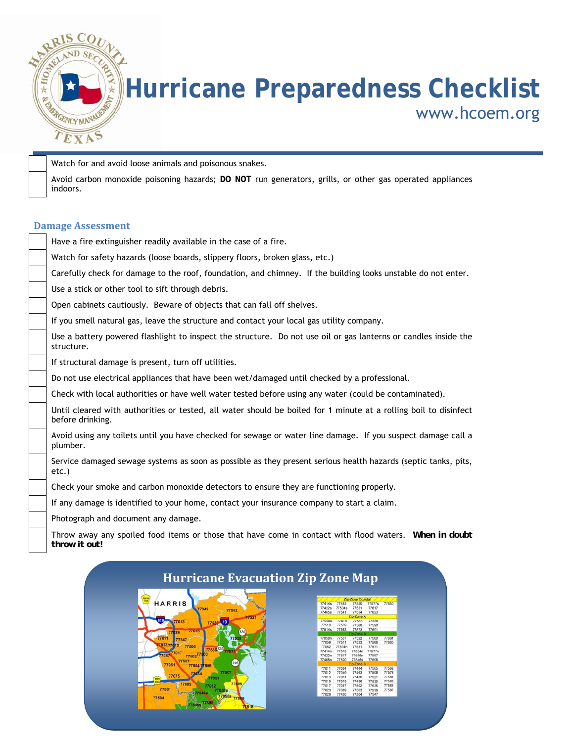

### **Hurricane Preparedness Checklist**  www.hcoem.org

Watch for and avoid loose animals and poisonous snakes.

 Avoid carbon monoxide poisoning hazards; **DO NOT** run generators, grills, or other gas operated appliances indoors.

#### **Damage Assessment**

| Have a fire extinguisher readily available in the case of a fire.                                                                    |
|--------------------------------------------------------------------------------------------------------------------------------------|
| Watch for safety hazards (loose boards, slippery floors, broken glass, etc.)                                                         |
| Carefully check for damage to the roof, foundation, and chimney. If the building looks unstable do not enter.                        |
| Use a stick or other tool to sift through debris.                                                                                    |
| Open cabinets cautiously. Beware of objects that can fall off shelves.                                                               |
| If you smell natural gas, leave the structure and contact your local gas utility company.                                            |
| Use a battery powered flashlight to inspect the structure. Do not use oil or gas lanterns or candles inside the<br>structure.        |
| If structural damage is present, turn off utilities.                                                                                 |
| Do not use electrical appliances that have been wet/damaged until checked by a professional.                                         |
| Check with local authorities or have well water tested before using any water (could be contaminated).                               |
| Until cleared with authorities or tested, all water should be boiled for 1 minute at a rolling boil to disinfect<br>before drinking. |
| Avoid using any toilets until you have checked for sewage or water line damage. If you suspect damage call a<br>plumber.             |
| Service damaged sewage systems as soon as possible as they present serious health hazards (septic tanks, pits,<br>$etc.$ )           |
| Check your smoke and carbon monoxide detectors to ensure they are functioning properly.                                              |
| If any damage is identified to your home, contact your insurance company to start a claim.                                           |
| Photograph and document any damage.                                                                                                  |
| Throw away any spoiled food items or those that have come in contact with flood waters. When in doubt<br>throw it out!               |

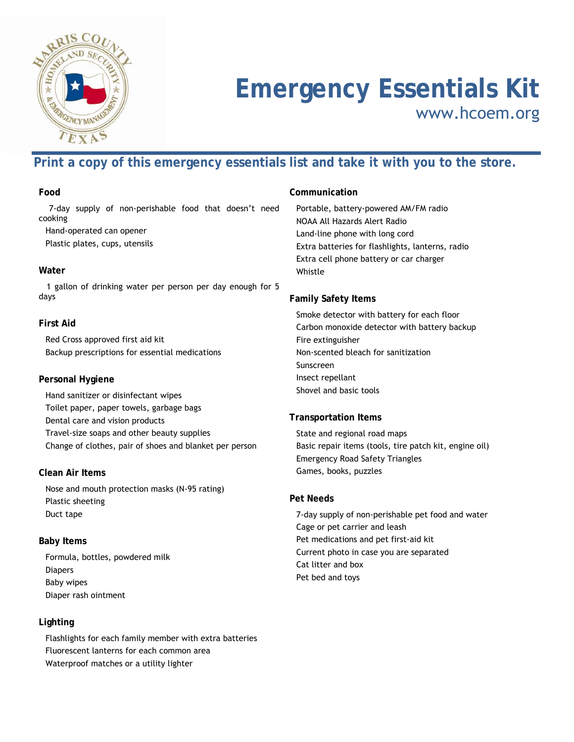

## **Emergency Essentials Kit**

www.hcoem.org

#### **Print a copy of this emergency essentials list and take it with you to the store.**

#### **Food**

 7-day supply of non-perishable food that doesn't need cooking

Hand-operated can opener

Plastic plates, cups, utensils

#### **Water**

 1 gallon of drinking water per person per day enough for 5 days

#### **First Aid**

 Red Cross approved first aid kit Backup prescriptions for essential medications

#### **Personal Hygiene**

 Hand sanitizer or disinfectant wipes Toilet paper, paper towels, garbage bags Dental care and vision products Travel-size soaps and other beauty supplies Change of clothes, pair of shoes and blanket per person

#### **Clean Air Items**

 Nose and mouth protection masks (N-95 rating) Plastic sheeting Duct tape

#### **Baby Items**

 Formula, bottles, powdered milk Diapers Baby wipes Diaper rash ointment

#### **Lighting**

 Flashlights for each family member with extra batteries Fluorescent lanterns for each common area Waterproof matches or a utility lighter

#### **Communication**

 Portable, battery-powered AM/FM radio NOAA All Hazards Alert Radio Land-line phone with long cord Extra batteries for flashlights, lanterns, radio Extra cell phone battery or car charger Whistle

#### **Family Safety Items**

 Smoke detector with battery for each floor Carbon monoxide detector with battery backup Fire extinguisher Non-scented bleach for sanitization Sunscreen Insect repellant Shovel and basic tools

#### **Transportation Items**

 State and regional road maps Basic repair items (tools, tire patch kit, engine oil) Emergency Road Safety Triangles Games, books, puzzles

#### **Pet Needs**

 7-day supply of non-perishable pet food and water Cage or pet carrier and leash Pet medications and pet first-aid kit Current photo in case you are separated Cat litter and box Pet bed and toys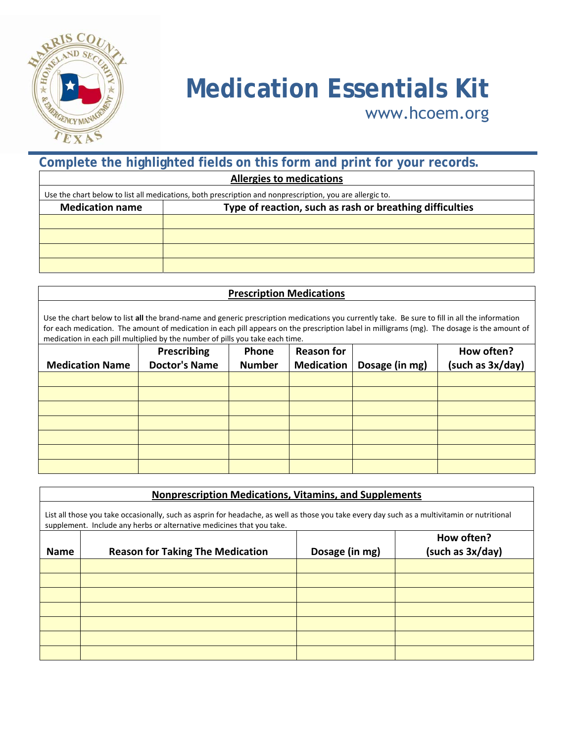

# **Medication Essentials Kit** www.hcoem.org

www.hcoem.org

| Complete the highlighted fields on this form and print for your records. |                                                                                                          |  |  |
|--------------------------------------------------------------------------|----------------------------------------------------------------------------------------------------------|--|--|
| <b>Allergies to medications</b>                                          |                                                                                                          |  |  |
|                                                                          | Use the chart below to list all medications, both prescription and nonprescription, you are allergic to. |  |  |
| <b>Medication name</b>                                                   | Type of reaction, such as rash or breathing difficulties                                                 |  |  |
|                                                                          |                                                                                                          |  |  |
|                                                                          |                                                                                                          |  |  |
|                                                                          |                                                                                                          |  |  |
|                                                                          |                                                                                                          |  |  |

| <b>Prescription Medications</b>                                                                                                                                                                                                                                                                                                                                                 |                      |               |                   |                |                  |
|---------------------------------------------------------------------------------------------------------------------------------------------------------------------------------------------------------------------------------------------------------------------------------------------------------------------------------------------------------------------------------|----------------------|---------------|-------------------|----------------|------------------|
| Use the chart below to list all the brand-name and generic prescription medications you currently take. Be sure to fill in all the information<br>for each medication. The amount of medication in each pill appears on the prescription label in milligrams (mg). The dosage is the amount of<br>medication in each pill multiplied by the number of pills you take each time. |                      |               |                   |                |                  |
|                                                                                                                                                                                                                                                                                                                                                                                 | <b>Prescribing</b>   | <b>Phone</b>  | <b>Reason for</b> |                | How often?       |
| <b>Medication Name</b>                                                                                                                                                                                                                                                                                                                                                          | <b>Doctor's Name</b> | <b>Number</b> | <b>Medication</b> | Dosage (in mg) | (such as 3x/day) |
|                                                                                                                                                                                                                                                                                                                                                                                 |                      |               |                   |                |                  |
|                                                                                                                                                                                                                                                                                                                                                                                 |                      |               |                   |                |                  |
|                                                                                                                                                                                                                                                                                                                                                                                 |                      |               |                   |                |                  |
|                                                                                                                                                                                                                                                                                                                                                                                 |                      |               |                   |                |                  |
|                                                                                                                                                                                                                                                                                                                                                                                 |                      |               |                   |                |                  |
|                                                                                                                                                                                                                                                                                                                                                                                 |                      |               |                   |                |                  |
|                                                                                                                                                                                                                                                                                                                                                                                 |                      |               |                   |                |                  |

|                                                                                                                                                                                                                       | <b>Nonprescription Medications, Vitamins, and Supplements</b> |                |                                |  |
|-----------------------------------------------------------------------------------------------------------------------------------------------------------------------------------------------------------------------|---------------------------------------------------------------|----------------|--------------------------------|--|
| List all those you take occasionally, such as asprin for headache, as well as those you take every day such as a multivitamin or nutritional<br>supplement. Include any herbs or alternative medicines that you take. |                                                               |                |                                |  |
| <b>Name</b>                                                                                                                                                                                                           | <b>Reason for Taking The Medication</b>                       | Dosage (in mg) | How often?<br>(such as 3x/day) |  |
|                                                                                                                                                                                                                       |                                                               |                |                                |  |
|                                                                                                                                                                                                                       |                                                               |                |                                |  |
|                                                                                                                                                                                                                       |                                                               |                |                                |  |
|                                                                                                                                                                                                                       |                                                               |                |                                |  |
|                                                                                                                                                                                                                       |                                                               |                |                                |  |
|                                                                                                                                                                                                                       |                                                               |                |                                |  |
|                                                                                                                                                                                                                       |                                                               |                |                                |  |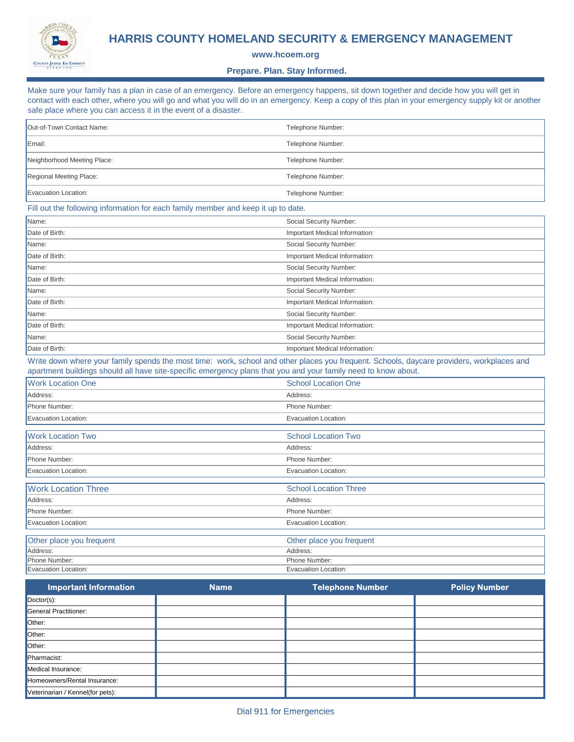

#### **HARRIS COUNTY HOMELAND SECURITY & EMERGENCY MANAGEMENT**

**www.hcoem.org**

#### **Prepare. Plan. Stay Informed.**

Make sure your family has a plan in case of an emergency. Before an emergency happens, sit down together and decide how you will get in contact with each other, where you will go and what you will do in an emergency. Keep a copy of this plan in your emergency supply kit or another safe place where you can access it in the event of a disaster.

| Out-of-Town Contact Name:                                                                                                                                                                                                                                   | Telephone Number:              |  |
|-------------------------------------------------------------------------------------------------------------------------------------------------------------------------------------------------------------------------------------------------------------|--------------------------------|--|
| Email:                                                                                                                                                                                                                                                      | Telephone Number:              |  |
| Neighborhood Meeting Place:                                                                                                                                                                                                                                 | Telephone Number:              |  |
| Regional Meeting Place:                                                                                                                                                                                                                                     | Telephone Number:              |  |
| Evacuation Location:                                                                                                                                                                                                                                        | Telephone Number:              |  |
| Fill out the following information for each family member and keep it up to date.                                                                                                                                                                           |                                |  |
| Name:                                                                                                                                                                                                                                                       | Social Security Number:        |  |
| Date of Birth:                                                                                                                                                                                                                                              | Important Medical Information: |  |
| Name:                                                                                                                                                                                                                                                       | Social Security Number:        |  |
| Date of Birth:                                                                                                                                                                                                                                              | Important Medical Information: |  |
| Name:                                                                                                                                                                                                                                                       | Social Security Number:        |  |
| Date of Birth:                                                                                                                                                                                                                                              | Important Medical Information: |  |
| Name:                                                                                                                                                                                                                                                       | Social Security Number:        |  |
| Date of Birth:                                                                                                                                                                                                                                              | Important Medical Information: |  |
| Name:                                                                                                                                                                                                                                                       | Social Security Number:        |  |
| Date of Birth:                                                                                                                                                                                                                                              | Important Medical Information: |  |
| Name:                                                                                                                                                                                                                                                       | Social Security Number:        |  |
| Date of Birth:                                                                                                                                                                                                                                              | Important Medical Information: |  |
| Write down where your family spends the most time: work, school and other places you frequent. Schools, daycare providers, workplaces and<br>apartment buildings should all have site-specific emergency plans that you and your family need to know about. |                                |  |
| <b>Work Location One</b>                                                                                                                                                                                                                                    | <b>School Location One</b>     |  |
| Address:                                                                                                                                                                                                                                                    | Address:                       |  |
| Phone Number:                                                                                                                                                                                                                                               | Phone Number:                  |  |
| Evacuation Location:                                                                                                                                                                                                                                        | <b>Evacuation Location:</b>    |  |
| <b>Work Location Two</b>                                                                                                                                                                                                                                    | <b>School Location Two</b>     |  |
| Address:                                                                                                                                                                                                                                                    | Address:                       |  |
| Phone Number:                                                                                                                                                                                                                                               | Phone Number:                  |  |
| Evacuation Location:                                                                                                                                                                                                                                        | <b>Evacuation Location:</b>    |  |
| <b>Work Location Three</b>                                                                                                                                                                                                                                  | <b>School Location Three</b>   |  |
| Address:                                                                                                                                                                                                                                                    | Address:                       |  |
| Phone Number:                                                                                                                                                                                                                                               | Phone Number:                  |  |
| Evacuation Location:                                                                                                                                                                                                                                        | <b>Evacuation Location:</b>    |  |
| Other place you frequent                                                                                                                                                                                                                                    | Other place you frequent       |  |
| Address:                                                                                                                                                                                                                                                    | Address:                       |  |
| Phone Number:                                                                                                                                                                                                                                               | Phone Number:                  |  |
| Evacuation Location:                                                                                                                                                                                                                                        | Evacuation Location:           |  |

| Important Information            | <b>Name</b> | Telephone Number | <b>Policy Number</b> |
|----------------------------------|-------------|------------------|----------------------|
| $\Delta$ Doctor(s):              |             |                  |                      |
| General Practitioner:            |             |                  |                      |
| Other:                           |             |                  |                      |
| Other:                           |             |                  |                      |
| Other:                           |             |                  |                      |
| Pharmacist:                      |             |                  |                      |
| Medical Insurance:               |             |                  |                      |
| Homeowners/Rental Insurance:     |             |                  |                      |
| Veterinarian / Kennel(for pets): |             |                  |                      |